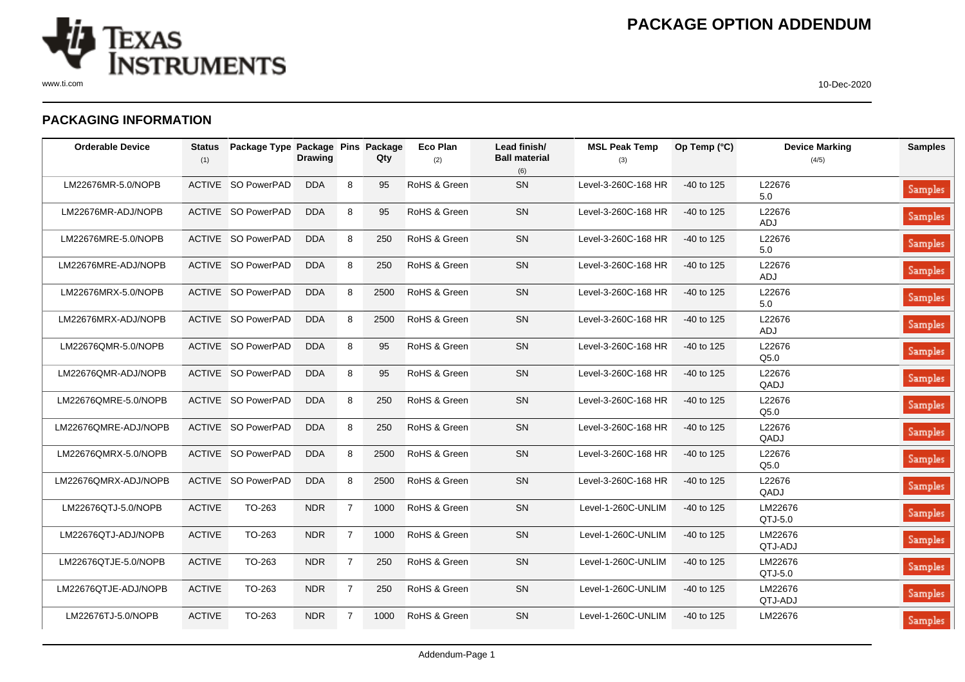

## **PACKAGING INFORMATION**

| <b>Orderable Device</b> | <b>Status</b><br>(1) | Package Type Package Pins Package | <b>Drawing</b> |                | Qty  | Eco Plan<br>(2) | Lead finish/<br><b>Ball material</b><br>(6) | <b>MSL Peak Temp</b><br>(3) | Op Temp $(^{\circ}C)$ | <b>Device Marking</b><br>(4/5) | <b>Samples</b> |
|-------------------------|----------------------|-----------------------------------|----------------|----------------|------|-----------------|---------------------------------------------|-----------------------------|-----------------------|--------------------------------|----------------|
| LM22676MR-5.0/NOPB      |                      | ACTIVE SO PowerPAD                | <b>DDA</b>     | 8              | 95   | RoHS & Green    | SN                                          | Level-3-260C-168 HR         | $-40$ to 125          | L22676<br>5.0                  | Samples        |
| LM22676MR-ADJ/NOPB      |                      | <b>ACTIVE SO PowerPAD</b>         | <b>DDA</b>     | 8              | 95   | RoHS & Green    | <b>SN</b>                                   | Level-3-260C-168 HR         | $-40$ to 125          | L22676<br>ADJ                  | Samples        |
| LM22676MRE-5.0/NOPB     |                      | ACTIVE SO PowerPAD                | <b>DDA</b>     | 8              | 250  | RoHS & Green    | SN                                          | Level-3-260C-168 HR         | -40 to 125            | L22676<br>5.0                  | Samples        |
| LM22676MRE-ADJ/NOPB     |                      | ACTIVE SO PowerPAD                | <b>DDA</b>     | 8              | 250  | RoHS & Green    | SN                                          | Level-3-260C-168 HR         | -40 to 125            | L22676<br>ADJ                  | Samples        |
| LM22676MRX-5.0/NOPB     |                      | ACTIVE SO PowerPAD                | <b>DDA</b>     | 8              | 2500 | RoHS & Green    | SN                                          | Level-3-260C-168 HR         | -40 to 125            | L22676<br>5.0                  | Samples        |
| LM22676MRX-ADJ/NOPB     |                      | ACTIVE SO PowerPAD                | <b>DDA</b>     | 8              | 2500 | RoHS & Green    | SN                                          | Level-3-260C-168 HR         | -40 to 125            | L22676<br><b>ADJ</b>           | Samples        |
| LM22676QMR-5.0/NOPB     |                      | ACTIVE SO PowerPAD                | <b>DDA</b>     | 8              | 95   | RoHS & Green    | <b>SN</b>                                   | Level-3-260C-168 HR         | $-40$ to 125          | L22676<br>Q5.0                 | Samples        |
| LM22676QMR-ADJ/NOPB     |                      | ACTIVE SO PowerPAD                | <b>DDA</b>     | 8              | 95   | RoHS & Green    | <b>SN</b>                                   | Level-3-260C-168 HR         | -40 to 125            | L22676<br>QADJ                 | Samples        |
| LM22676QMRE-5.0/NOPB    |                      | ACTIVE SO PowerPAD                | <b>DDA</b>     | 8              | 250  | RoHS & Green    | SN                                          | Level-3-260C-168 HR         | -40 to 125            | L22676<br>Q5.0                 | Samples        |
| LM22676QMRE-ADJ/NOPB    |                      | ACTIVE SO PowerPAD                | <b>DDA</b>     | 8              | 250  | RoHS & Green    | SN                                          | Level-3-260C-168 HR         | -40 to 125            | L22676<br>QADJ                 | Samples        |
| LM22676QMRX-5.0/NOPB    |                      | ACTIVE SO PowerPAD                | <b>DDA</b>     | 8              | 2500 | RoHS & Green    | SN                                          | Level-3-260C-168 HR         | -40 to 125            | L22676<br>Q5.0                 | Samples        |
| LM22676QMRX-ADJ/NOPB    |                      | ACTIVE SO PowerPAD                | <b>DDA</b>     | 8              | 2500 | RoHS & Green    | SN                                          | Level-3-260C-168 HR         | -40 to 125            | L22676<br>QADJ                 | Samples        |
| LM22676QTJ-5.0/NOPB     | <b>ACTIVE</b>        | TO-263                            | <b>NDR</b>     | $\overline{7}$ | 1000 | RoHS & Green    | SN                                          | Level-1-260C-UNLIM          | -40 to 125            | LM22676<br>QTJ-5.0             | Samples        |
| LM22676QTJ-ADJ/NOPB     | <b>ACTIVE</b>        | TO-263                            | <b>NDR</b>     | $\overline{7}$ | 1000 | RoHS & Green    | SN                                          | Level-1-260C-UNLIM          | -40 to 125            | LM22676<br>QTJ-ADJ             | <b>Samples</b> |
| LM22676QTJE-5.0/NOPB    | <b>ACTIVE</b>        | TO-263                            | <b>NDR</b>     | $\overline{7}$ | 250  | RoHS & Green    | SN                                          | Level-1-260C-UNLIM          | -40 to 125            | LM22676<br>QTJ-5.0             | Samples        |
| LM22676QTJE-ADJ/NOPB    | <b>ACTIVE</b>        | TO-263                            | <b>NDR</b>     | $\overline{7}$ | 250  | RoHS & Green    | SN                                          | Level-1-260C-UNLIM          | -40 to 125            | LM22676<br>QTJ-ADJ             | Samples        |
| LM22676TJ-5.0/NOPB      | <b>ACTIVE</b>        | TO-263                            | <b>NDR</b>     | $\overline{7}$ | 1000 | RoHS & Green    | SN                                          | Level-1-260C-UNLIM          | -40 to 125            | LM22676                        | Samples        |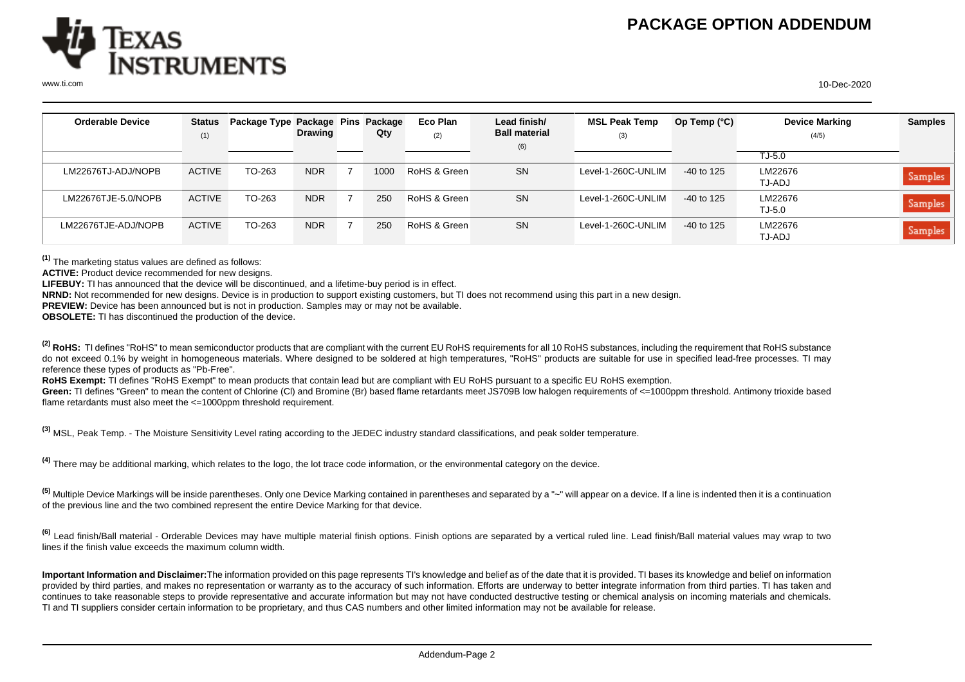

| <b>Orderable Device</b> | <b>Status</b> | Package Type Package Pins Package |                |      | Eco Plan     | Lead finish/         | <b>MSL Peak Temp</b> | Op Temp (°C) | <b>Device Marking</b> | <b>Samples</b> |
|-------------------------|---------------|-----------------------------------|----------------|------|--------------|----------------------|----------------------|--------------|-----------------------|----------------|
|                         |               |                                   | <b>Drawing</b> | Qty  |              | <b>Ball material</b> |                      |              |                       |                |
|                         | (1)           |                                   |                |      | (2)          | (6)                  | (3)                  |              | (4/5)                 |                |
|                         |               |                                   |                |      |              |                      |                      |              | TJ-5.0                |                |
| LM22676TJ-ADJ/NOPB      | <b>ACTIVE</b> | TO-263                            | NDR.           | 1000 | RoHS & Green | <b>SN</b>            | Level-1-260C-UNLIM   | $-40$ to 125 | LM22676<br>TJ-ADJ     | Samples        |
| LM22676TJE-5.0/NOPB     | <b>ACTIVE</b> | TO-263                            | NDR.           | 250  | RoHS & Green | <b>SN</b>            | Level-1-260C-UNLIM   | $-40$ to 125 | LM22676<br>TJ-5.0     | <b>Samples</b> |
| LM22676TJE-ADJ/NOPB     | <b>ACTIVE</b> | TO-263                            | <b>NDR</b>     | 250  | RoHS & Green | <b>SN</b>            | Level-1-260C-UNLIM   | $-40$ to 125 | LM22676<br>TJ-ADJ     | <b>Samples</b> |

**(1)** The marketing status values are defined as follows:

**ACTIVE:** Product device recommended for new designs.

**LIFEBUY:** TI has announced that the device will be discontinued, and a lifetime-buy period is in effect.

**NRND:** Not recommended for new designs. Device is in production to support existing customers, but TI does not recommend using this part in a new design.

**PREVIEW:** Device has been announced but is not in production. Samples may or may not be available.

**OBSOLETE:** TI has discontinued the production of the device.

<sup>(2)</sup> RoHS: TI defines "RoHS" to mean semiconductor products that are compliant with the current EU RoHS requirements for all 10 RoHS substances, including the requirement that RoHS substance do not exceed 0.1% by weight in homogeneous materials. Where designed to be soldered at high temperatures, "RoHS" products are suitable for use in specified lead-free processes. TI may reference these types of products as "Pb-Free".

RoHS Exempt: TI defines "RoHS Exempt" to mean products that contain lead but are compliant with EU RoHS pursuant to a specific EU RoHS exemption.

Green: TI defines "Green" to mean the content of Chlorine (CI) and Bromine (Br) based flame retardants meet JS709B low halogen requirements of <=1000ppm threshold. Antimony trioxide based flame retardants must also meet the <=1000ppm threshold requirement.

**(3)** MSL, Peak Temp. - The Moisture Sensitivity Level rating according to the JEDEC industry standard classifications, and peak solder temperature.

**(4)** There may be additional marking, which relates to the logo, the lot trace code information, or the environmental category on the device.

**(5)** Multiple Device Markings will be inside parentheses. Only one Device Marking contained in parentheses and separated by a "~" will appear on a device. If a line is indented then it is a continuation of the previous line and the two combined represent the entire Device Marking for that device.

**(6)** Lead finish/Ball material - Orderable Devices may have multiple material finish options. Finish options are separated by a vertical ruled line. Lead finish/Ball material values may wrap to two lines if the finish value exceeds the maximum column width.

**Important Information and Disclaimer:**The information provided on this page represents TI's knowledge and belief as of the date that it is provided. TI bases its knowledge and belief on information provided by third parties, and makes no representation or warranty as to the accuracy of such information. Efforts are underway to better integrate information from third parties. TI has taken and continues to take reasonable steps to provide representative and accurate information but may not have conducted destructive testing or chemical analysis on incoming materials and chemicals. TI and TI suppliers consider certain information to be proprietary, and thus CAS numbers and other limited information may not be available for release.